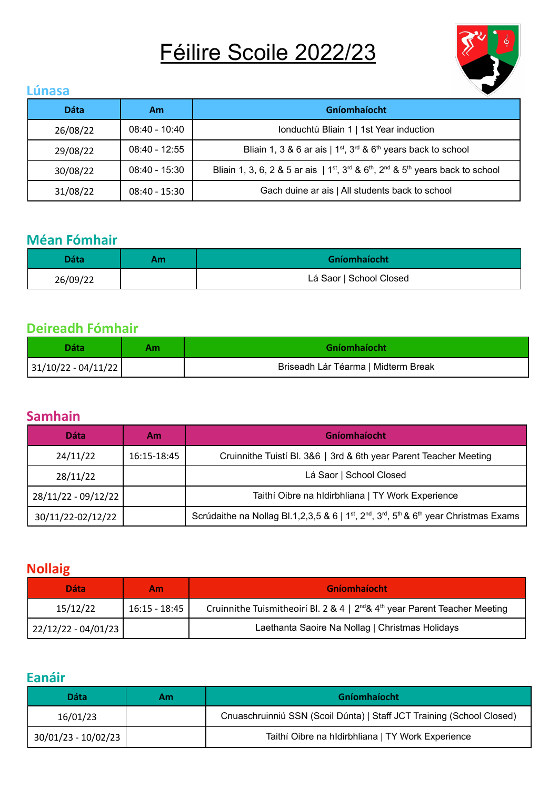# Féilire Scoile 2022/23



### **Lúnasa**

| <b>Dáta</b> | Am              | Gníomhaíocht                                                                                             |
|-------------|-----------------|----------------------------------------------------------------------------------------------------------|
| 26/08/22    | $08:40 - 10:40$ | Ionduchtú Bliain 1   1st Year induction                                                                  |
| 29/08/22    | $08:40 - 12:55$ | Bliain 1, 3 & 6 ar ais   $1^{st}$ , $3^{rd}$ & $6^{th}$ years back to school                             |
| 30/08/22    | $08:40 - 15:30$ | Bliain 1, 3, 6, 2 & 5 ar ais   $1^{st}$ , $3^{rd}$ & $6^{th}$ , $2^{nd}$ & $5^{th}$ years back to school |
| 31/08/22    | $08:40 - 15:30$ | Gach duine ar ais   All students back to school                                                          |

# **Méan Fómhair**

| Dáta     | ١m | <b>Gníomhaíocht</b>     |
|----------|----|-------------------------|
| 26/09/22 |    | Lá Saor   School Closed |

# **Deireadh Fómhair**

| Dáta                    | Gníomhaíocht                        |
|-------------------------|-------------------------------------|
| $ 31/10/22 - 04/11/22 $ | Briseadh Lár Téarma   Midterm Break |

## **Samhain**

| <b>Dáta</b>         | Am          | <b>Gníomhaíocht</b>                                                                                                                                |
|---------------------|-------------|----------------------------------------------------------------------------------------------------------------------------------------------------|
| 24/11/22            | 16:15-18:45 | Cruinnithe Tuistí Bl. 3&6   3rd & 6th year Parent Teacher Meeting                                                                                  |
| 28/11/22            |             | Lá Saor   School Closed                                                                                                                            |
| 28/11/22 - 09/12/22 |             | Taithí Oibre na hIdirbhliana   TY Work Experience                                                                                                  |
| 30/11/22-02/12/22   |             | Scrúdaithe na Nollag Bl.1,2,3,5 & 6   1 <sup>st</sup> , 2 <sup>nd</sup> , 3 <sup>rd</sup> , 5 <sup>th</sup> & 6 <sup>th</sup> year Christmas Exams |

## **Nollaig**

| <b>Dáta</b>         | Am.           | Gníomhaíocht                                                                                |
|---------------------|---------------|---------------------------------------------------------------------------------------------|
| 15/12/22            | 16:15 - 18:45 | Cruinnithe Tuismitheoirí Bl. 2 & 4   $2^{nd}$ & 4 <sup>th</sup> year Parent Teacher Meeting |
| 22/12/22 - 04/01/23 |               | Laethanta Saoire Na Nollag   Christmas Holidays                                             |

# **Eanáir**

| Dáta                | Am | Gníomhaíocht                                                          |
|---------------------|----|-----------------------------------------------------------------------|
| 16/01/23            |    | Cnuaschruinniú SSN (Scoil Dúnta)   Staff JCT Training (School Closed) |
| 30/01/23 - 10/02/23 |    | Taithí Oibre na hIdirbhliana   TY Work Experience                     |